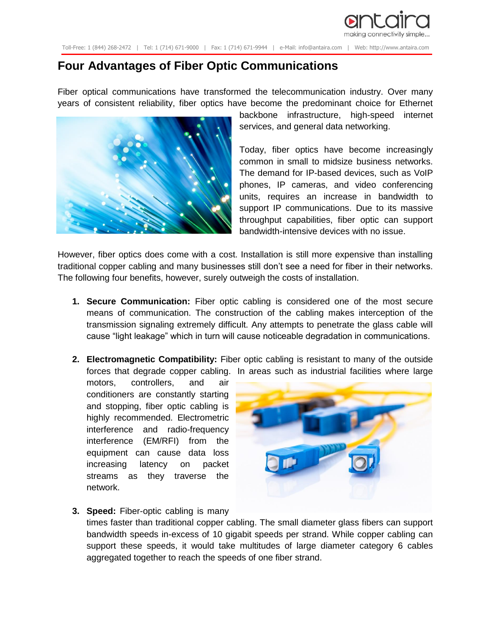

Toll-Free: 1 (844) 268-2472 | Tel: 1 (714) 671-9000 | Fax: 1 (714) 671-9944 | e-Mail: info@antaira.com | Web: http://www.antaira.com

## **Four Advantages of Fiber Optic Communications**

Fiber optical communications have transformed the telecommunication industry. Over many years of consistent reliability, fiber optics have become the predominant choice for Ethernet



backbone infrastructure, high-speed internet services, and general data networking.

Today, fiber optics have become increasingly common in small to midsize business networks. The demand for IP-based devices, such as VoIP phones, IP cameras, and video conferencing units, requires an increase in bandwidth to support IP communications. Due to its massive throughput capabilities, fiber optic can support bandwidth-intensive devices with no issue.

However, fiber optics does come with a cost. Installation is still more expensive than installing traditional copper cabling and many businesses still don't see a need for fiber in their networks. The following four benefits, however, surely outweigh the costs of installation.

- **1. Secure Communication:** Fiber optic cabling is considered one of the most secure means of communication. The construction of the cabling makes interception of the transmission signaling extremely difficult. Any attempts to penetrate the glass cable will cause "light leakage" which in turn will cause noticeable degradation in communications.
- **2. Electromagnetic Compatibility:** Fiber optic cabling is resistant to many of the outside forces that degrade copper cabling. In areas such as industrial facilities where large

motors, controllers, and air conditioners are constantly starting and stopping, fiber optic cabling is highly recommended. Electrometric interference and radio-frequency interference (EM/RFI) from the equipment can cause data loss increasing latency on packet streams as they traverse the network.



## **3. Speed:** Fiber-optic cabling is many

times faster than traditional copper cabling. The small diameter glass fibers can support bandwidth speeds in-excess of 10 gigabit speeds per strand. While copper cabling can support these speeds, it would take multitudes of large diameter category 6 cables aggregated together to reach the speeds of one fiber strand.